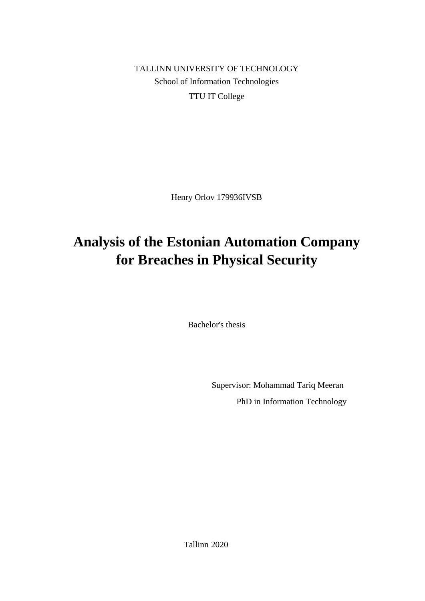TALLINN UNIVERSITY OF TECHNOLOGY School of Information Technologies TTU IT College

Henry Orlov 179936IVSB

# **Analysis of the Estonian Automation Company for Breaches in Physical Security**

Bachelor's thesis

Supervisor: Mohammad Tariq Meeran PhD in Information Technology

Tallinn 2020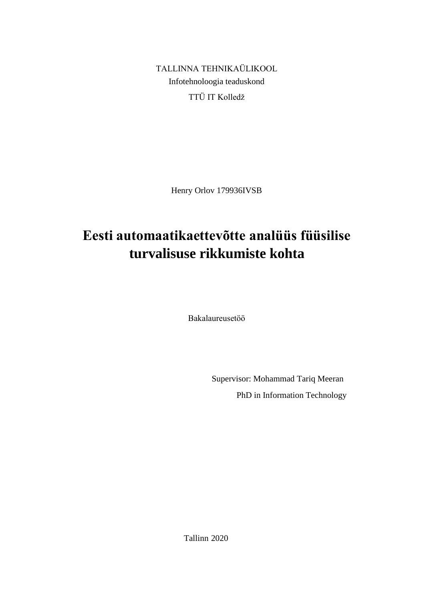TALLINNA TEHNIKAÜLIKOOL Infotehnoloogia teaduskond TTÜ IT Kolledž

Henry Orlov 179936IVSB

# **Eesti automaatikaettevõtte analüüs füüsilise turvalisuse rikkumiste kohta**

Bakalaureusetöö

Supervisor: Mohammad Tariq Meeran PhD in Information Technology

Tallinn 2020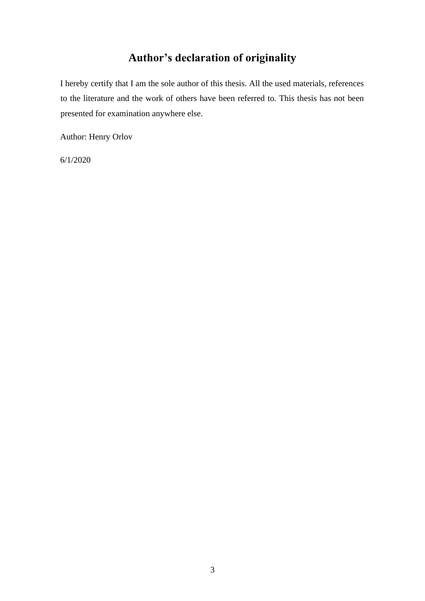# **Author's declaration of originality**

I hereby certify that I am the sole author of this thesis. All the used materials, references to the literature and the work of others have been referred to. This thesis has not been presented for examination anywhere else.

Author: Henry Orlov

6/1/2020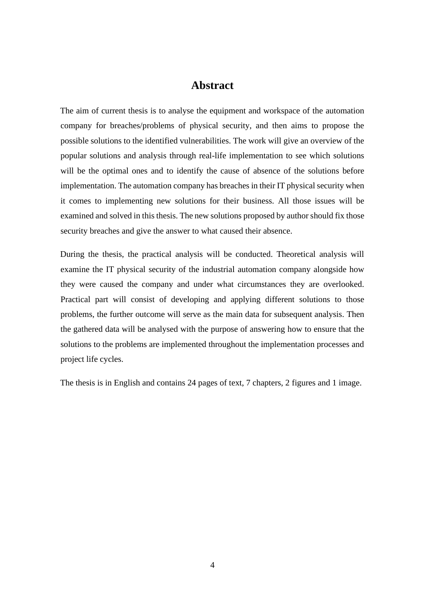### **Abstract**

The aim of current thesis is to analyse the equipment and workspace of the automation company for breaches/problems of physical security, and then aims to propose the possible solutions to the identified vulnerabilities. The work will give an overview of the popular solutions and analysis through real-life implementation to see which solutions will be the optimal ones and to identify the cause of absence of the solutions before implementation. The automation company has breaches in their IT physical security when it comes to implementing new solutions for their business. All those issues will be examined and solved in this thesis. The new solutions proposed by author should fix those security breaches and give the answer to what caused their absence.

During the thesis, the practical analysis will be conducted. Theoretical analysis will examine the IT physical security of the industrial automation company alongside how they were caused the company and under what circumstances they are overlooked. Practical part will consist of developing and applying different solutions to those problems, the further outcome will serve as the main data for subsequent analysis. Then the gathered data will be analysed with the purpose of answering how to ensure that the solutions to the problems are implemented throughout the implementation processes and project life cycles.

The thesis is in English and contains 24 pages of text, 7 chapters, 2 figures and 1 image.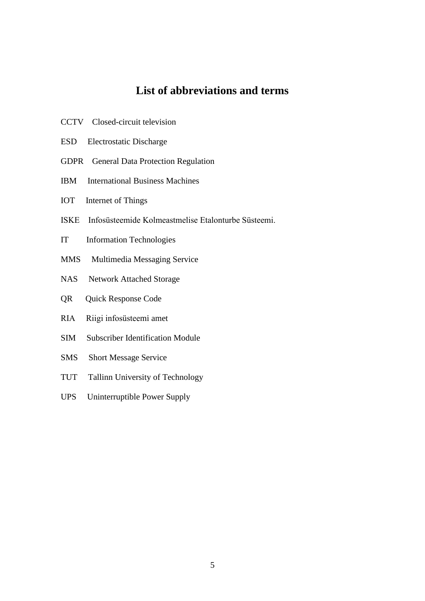### **List of abbreviations and terms**

- CCTV Closed-circuit television
- ESD Electrostatic Discharge
- GDPR General Data Protection Regulation
- IBM International Business Machines
- IOT Internet of Things
- ISKE Infosüsteemide Kolmeastmelise Etalonturbe Süsteemi.
- IT Information Technologies
- MMS Multimedia Messaging Service
- NAS Network Attached Storage
- QR Quick Response Code
- RIA Riigi infosüsteemi amet
- SIM Subscriber Identification Module
- SMS Short Message Service
- TUT Tallinn University of Technology
- UPS Uninterruptible Power Supply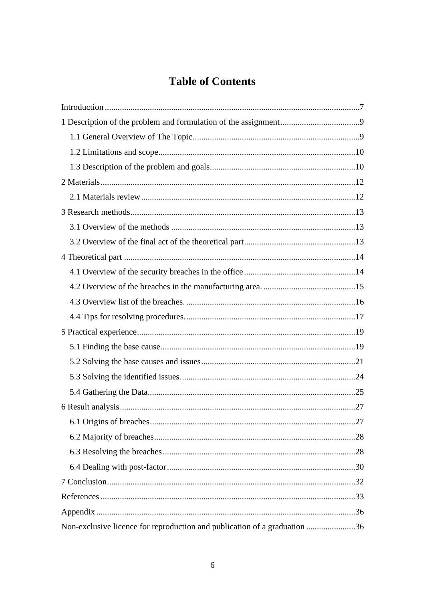# **Table of Contents**

| Non-exclusive licence for reproduction and publication of a graduation 36 |  |
|---------------------------------------------------------------------------|--|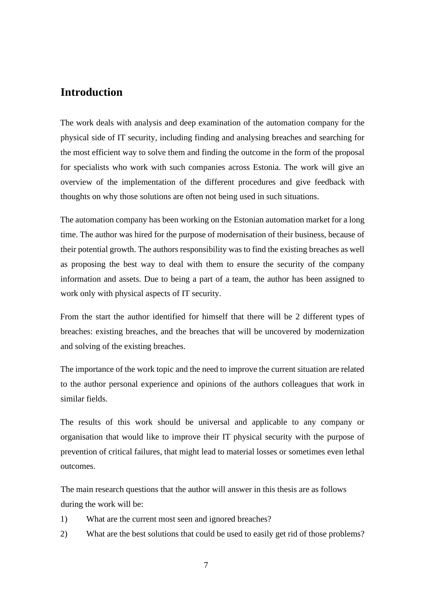### <span id="page-6-0"></span>**Introduction**

The work deals with analysis and deep examination of the automation company for the physical side of IT security, including finding and analysing breaches and searching for the most efficient way to solve them and finding the outcome in the form of the proposal for specialists who work with such companies across Estonia. The work will give an overview of the implementation of the different procedures and give feedback with thoughts on why those solutions are often not being used in such situations.

The automation company has been working on the Estonian automation market for a long time. The author was hired for the purpose of modernisation of their business, because of their potential growth. The authors responsibility was to find the existing breaches as well as proposing the best way to deal with them to ensure the security of the company information and assets. Due to being a part of a team, the author has been assigned to work only with physical aspects of IT security.

From the start the author identified for himself that there will be 2 different types of breaches: existing breaches, and the breaches that will be uncovered by modernization and solving of the existing breaches.

The importance of the work topic and the need to improve the current situation are related to the author personal experience and opinions of the authors colleagues that work in similar fields.

The results of this work should be universal and applicable to any company or organisation that would like to improve their IT physical security with the purpose of prevention of critical failures, that might lead to material losses or sometimes even lethal outcomes.

The main research questions that the author will answer in this thesis are as follows during the work will be:

- 1) What are the current most seen and ignored breaches?
- 2) What are the best solutions that could be used to easily get rid of those problems?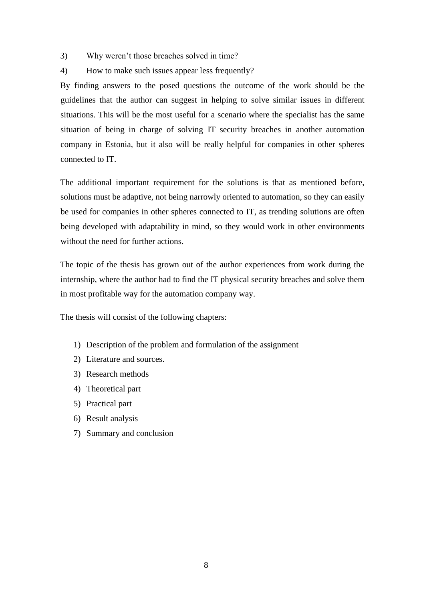- 3) Why weren't those breaches solved in time?
- 4) How to make such issues appear less frequently?

By finding answers to the posed questions the outcome of the work should be the guidelines that the author can suggest in helping to solve similar issues in different situations. This will be the most useful for a scenario where the specialist has the same situation of being in charge of solving IT security breaches in another automation company in Estonia, but it also will be really helpful for companies in other spheres connected to IT.

The additional important requirement for the solutions is that as mentioned before, solutions must be adaptive, not being narrowly oriented to automation, so they can easily be used for companies in other spheres connected to IT, as trending solutions are often being developed with adaptability in mind, so they would work in other environments without the need for further actions.

The topic of the thesis has grown out of the author experiences from work during the internship, where the author had to find the IT physical security breaches and solve them in most profitable way for the automation company way.

The thesis will consist of the following chapters:

- 1) Description of the problem and formulation of the assignment
- 2) Literature and sources.
- 3) Research methods
- 4) Theoretical part
- 5) Practical part
- 6) Result analysis
- <span id="page-7-0"></span>7) Summary and conclusion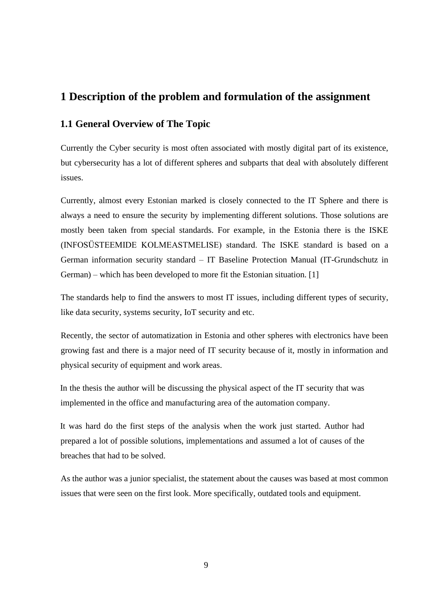### **1 Description of the problem and formulation of the assignment**

### <span id="page-8-0"></span>**1.1 General Overview of The Topic**

Currently the Cyber security is most often associated with mostly digital part of its existence, but cybersecurity has a lot of different spheres and subparts that deal with absolutely different issues.

Currently, almost every Estonian marked is closely connected to the IT Sphere and there is always a need to ensure the security by implementing different solutions. Those solutions are mostly been taken from special standards. For example, in the Estonia there is the ISKE (INFOSÜSTEEMIDE KOLMEASTMELISE) standard. The ISKE standard is based on a German information security standard – IT Baseline Protection Manual (IT-Grundschutz in German) – which has been developed to more fit the Estonian situation. [1]

The standards help to find the answers to most IT issues, including different types of security, like data security, systems security, IoT security and etc.

Recently, the sector of automatization in Estonia and other spheres with electronics have been growing fast and there is a major need of IT security because of it, mostly in information and physical security of equipment and work areas.

In the thesis the author will be discussing the physical aspect of the IT security that was implemented in the office and manufacturing area of the automation company.

It was hard do the first steps of the analysis when the work just started. Author had prepared a lot of possible solutions, implementations and assumed a lot of causes of the breaches that had to be solved.

As the author was a junior specialist, the statement about the causes was based at most common issues that were seen on the first look. More specifically, outdated tools and equipment.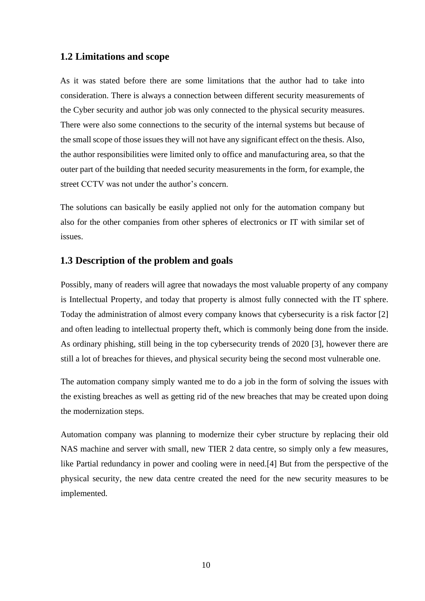#### <span id="page-9-0"></span>**1.2 Limitations and scope**

As it was stated before there are some limitations that the author had to take into consideration. There is always a connection between different security measurements of the Cyber security and author job was only connected to the physical security measures. There were also some connections to the security of the internal systems but because of the small scope of those issues they will not have any significant effect on the thesis. Also, the author responsibilities were limited only to office and manufacturing area, so that the outer part of the building that needed security measurements in the form, for example, the street CCTV was not under the author's concern.

The solutions can basically be easily applied not only for the automation company but also for the other companies from other spheres of electronics or IT with similar set of issues.

#### <span id="page-9-1"></span>**1.3 Description of the problem and goals**

Possibly, many of readers will agree that nowadays the most valuable property of any company is Intellectual Property, and today that property is almost fully connected with the IT sphere. Today the administration of almost every company knows that cybersecurity is a risk factor [2] and often leading to intellectual property theft, which is commonly being done from the inside. As ordinary phishing, still being in the top cybersecurity trends of 2020 [3], however there are still a lot of breaches for thieves, and physical security being the second most vulnerable one.

The automation company simply wanted me to do a job in the form of solving the issues with the existing breaches as well as getting rid of the new breaches that may be created upon doing the modernization steps.

Automation company was planning to modernize their cyber structure by replacing their old NAS machine and server with small, new TIER 2 data centre, so simply only a few measures, like Partial redundancy in power and cooling were in need.[4] But from the perspective of the physical security, the new data centre created the need for the new security measures to be implemented.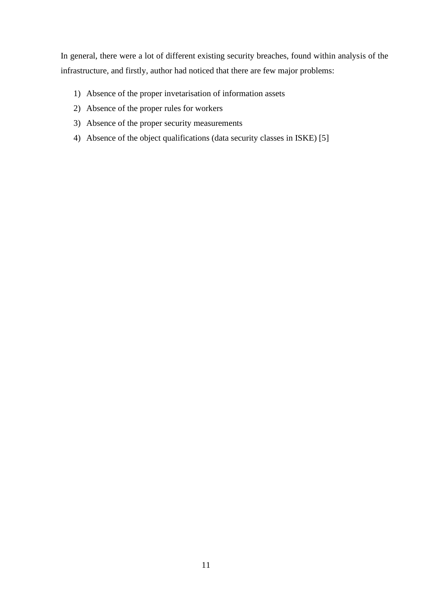In general, there were a lot of different existing security breaches, found within analysis of the infrastructure, and firstly, author had noticed that there are few major problems:

- 1) Absence of the proper invetarisation of information assets
- 2) Absence of the proper rules for workers
- 3) Absence of the proper security measurements
- 4) Absence of the object qualifications (data security classes in ISKE) [5]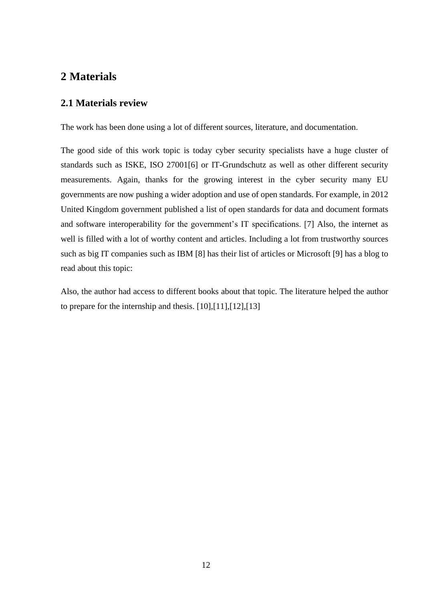### <span id="page-11-0"></span>**2 Materials**

#### <span id="page-11-1"></span>**2.1 Materials review**

The work has been done using a lot of different sources, literature, and documentation.

The good side of this work topic is today cyber security specialists have a huge cluster of standards such as ISKE, ISO 27001[6] or IT-Grundschutz as well as other different security measurements. Again, thanks for the growing interest in the cyber security many EU governments are now pushing a wider adoption and use of open standards. For example, in 2012 United Kingdom government published a list of open standards for data and document formats and software interoperability for the government's IT specifications. [7] Also, the internet as well is filled with a lot of worthy content and articles. Including a lot from trustworthy sources such as big IT companies such as IBM [8] has their list of articles or Microsoft [9] has a blog to read about this topic:

Also, the author had access to different books about that topic. The literature helped the author to prepare for the internship and thesis. [10],[11],[12],[13]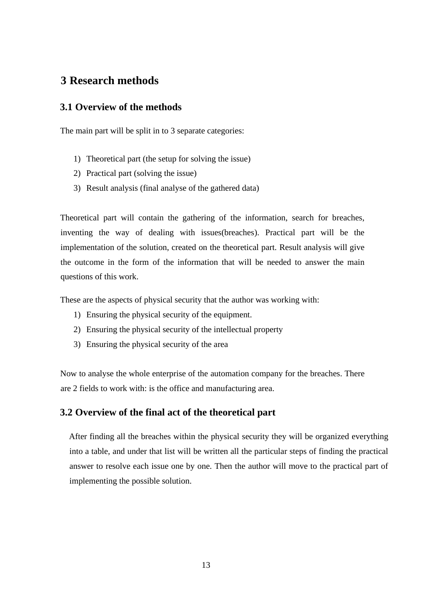### <span id="page-12-0"></span>**3 Research methods**

#### <span id="page-12-1"></span>**3.1 Overview of the methods**

The main part will be split in to 3 separate categories:

- 1) Theoretical part (the setup for solving the issue)
- 2) Practical part (solving the issue)
- 3) Result analysis (final analyse of the gathered data)

Theoretical part will contain the gathering of the information, search for breaches, inventing the way of dealing with issues(breaches). Practical part will be the implementation of the solution, created on the theoretical part. Result analysis will give the outcome in the form of the information that will be needed to answer the main questions of this work.

These are the aspects of physical security that the author was working with:

- 1) Ensuring the physical security of the equipment.
- 2) Ensuring the physical security of the intellectual property
- 3) Ensuring the physical security of the area

Now to analyse the whole enterprise of the automation company for the breaches. There are 2 fields to work with: is the office and manufacturing area.

#### <span id="page-12-2"></span>**3.2 Overview of the final act of the theoretical part**

After finding all the breaches within the physical security they will be organized everything into a table, and under that list will be written all the particular steps of finding the practical answer to resolve each issue one by one. Then the author will move to the practical part of implementing the possible solution.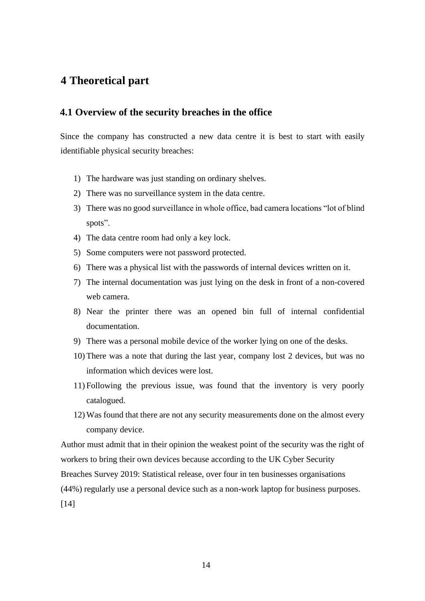### <span id="page-13-0"></span>**4 Theoretical part**

#### <span id="page-13-1"></span>**4.1 Overview of the security breaches in the office**

Since the company has constructed a new data centre it is best to start with easily identifiable physical security breaches:

- 1) The hardware was just standing on ordinary shelves.
- 2) There was no surveillance system in the data centre.
- 3) There was no good surveillance in whole office, bad camera locations "lot of blind spots".
- 4) The data centre room had only a key lock.
- 5) Some computers were not password protected.
- 6) There was a physical list with the passwords of internal devices written on it.
- 7) The internal documentation was just lying on the desk in front of a non-covered web camera.
- 8) Near the printer there was an opened bin full of internal confidential documentation.
- 9) There was a personal mobile device of the worker lying on one of the desks.
- 10) There was a note that during the last year, company lost 2 devices, but was no information which devices were lost.
- 11) Following the previous issue, was found that the inventory is very poorly catalogued.
- 12) Was found that there are not any security measurements done on the almost every company device.

Author must admit that in their opinion the weakest point of the security was the right of workers to bring their own devices because according to the UK Cyber Security

Breaches Survey 2019: Statistical release, over four in ten businesses organisations

(44%) regularly use a personal device such as a non-work laptop for business purposes.

[14]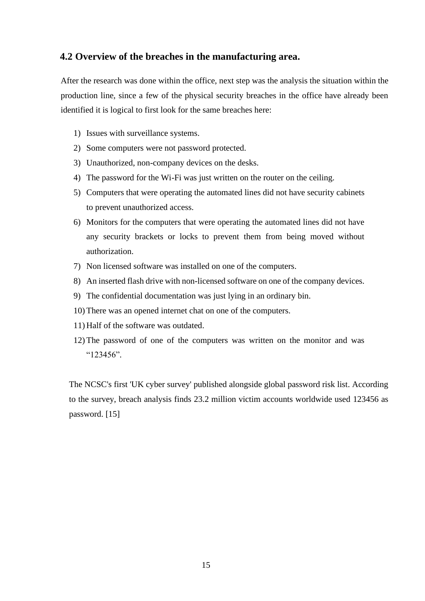#### <span id="page-14-0"></span>**4.2 Overview of the breaches in the manufacturing area.**

After the research was done within the office, next step was the analysis the situation within the production line, since a few of the physical security breaches in the office have already been identified it is logical to first look for the same breaches here:

- 1) Issues with surveillance systems.
- 2) Some computers were not password protected.
- 3) Unauthorized, non-company devices on the desks.
- 4) The password for the Wi-Fi was just written on the router on the ceiling.
- 5) Computers that were operating the automated lines did not have security cabinets to prevent unauthorized access.
- 6) Monitors for the computers that were operating the automated lines did not have any security brackets or locks to prevent them from being moved without authorization.
- 7) Non licensed software was installed on one of the computers.
- 8) An inserted flash drive with non-licensed software on one of the company devices.
- 9) The confidential documentation was just lying in an ordinary bin.
- 10) There was an opened internet chat on one of the computers.
- 11) Half of the software was outdated.
- 12) The password of one of the computers was written on the monitor and was "123456".

The NCSC's first 'UK cyber survey' published alongside global password risk list. According to the survey, breach analysis finds 23.2 million victim accounts worldwide used 123456 as password. [15]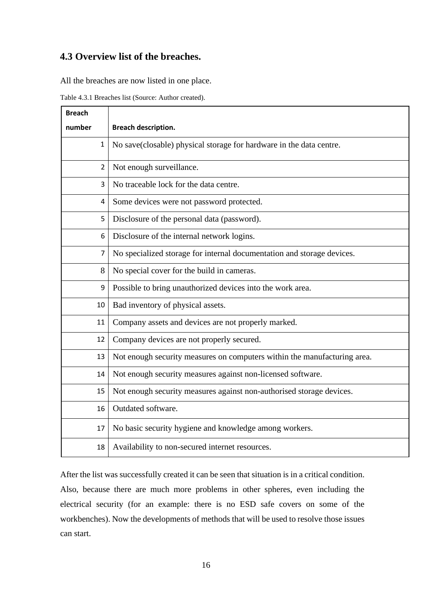### <span id="page-15-0"></span>**4.3 Overview list of the breaches.**

All the breaches are now listed in one place.

| Table 4.3.1 Breaches list (Source: Author created). |  |
|-----------------------------------------------------|--|
|-----------------------------------------------------|--|

| <b>Breach</b>  |                                                                          |  |  |
|----------------|--------------------------------------------------------------------------|--|--|
| number         | <b>Breach description.</b>                                               |  |  |
| $\mathbf{1}$   | No save(closable) physical storage for hardware in the data centre.      |  |  |
| $\overline{2}$ | Not enough surveillance.                                                 |  |  |
| 3              | No traceable lock for the data centre.                                   |  |  |
| 4              | Some devices were not password protected.                                |  |  |
| 5              | Disclosure of the personal data (password).                              |  |  |
| 6              | Disclosure of the internal network logins.                               |  |  |
| $\overline{7}$ | No specialized storage for internal documentation and storage devices.   |  |  |
| 8              | No special cover for the build in cameras.                               |  |  |
| 9              | Possible to bring unauthorized devices into the work area.               |  |  |
| 10             | Bad inventory of physical assets.                                        |  |  |
| 11             | Company assets and devices are not properly marked.                      |  |  |
| 12             | Company devices are not properly secured.                                |  |  |
| 13             | Not enough security measures on computers within the manufacturing area. |  |  |
| 14             | Not enough security measures against non-licensed software.              |  |  |
| 15             | Not enough security measures against non-authorised storage devices.     |  |  |
| 16             | Outdated software.                                                       |  |  |
| 17             | No basic security hygiene and knowledge among workers.                   |  |  |
| 18             | Availability to non-secured internet resources.                          |  |  |

After the list was successfully created it can be seen that situation is in a critical condition. Also, because there are much more problems in other spheres, even including the electrical security (for an example: there is no ESD safe covers on some of the workbenches). Now the developments of methods that will be used to resolve those issues can start.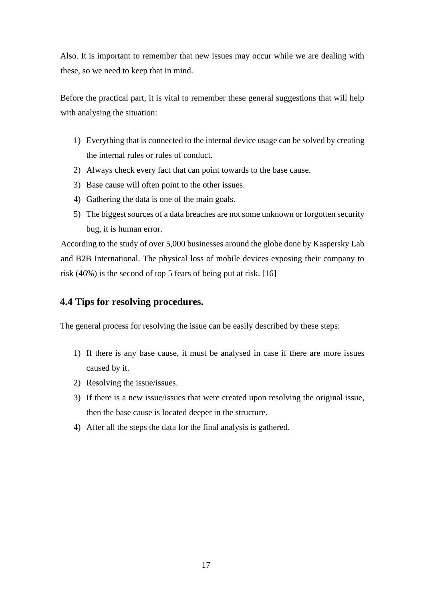Also. It is important to remember that new issues may occur while we are dealing with these, so we need to keep that in mind.

Before the practical part, it is vital to remember these general suggestions that will help with analysing the situation:

- 1) Everything that is connected to the internal device usage can be solved by creating the internal rules or rules of conduct.
- 2) Always check every fact that can point towards to the base cause.
- 3) Base cause will often point to the other issues.
- 4) Gathering the data is one of the main goals.
- 5) The biggest sources of a data breaches are not some unknown or forgotten security bug, it is human error.

According to the study of over 5,000 businesses around the globe done by Kaspersky Lab and B2B International. The physical loss of mobile devices exposing their company to risk (46%) is the second of top 5 fears of being put at risk. [16]

### <span id="page-16-0"></span>**4.4 Tips for resolving procedures.**

The general process for resolving the issue can be easily described by these steps:

- 1) If there is any base cause, it must be analysed in case if there are more issues caused by it.
- 2) Resolving the issue/issues.
- 3) If there is a new issue/issues that were created upon resolving the original issue, then the base cause is located deeper in the structure.
- 4) After all the steps the data for the final analysis is gathered.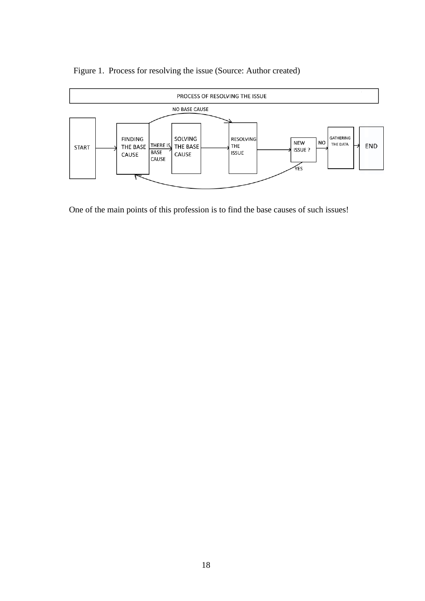

Figure 1. Process for resolving the issue (Source: Author created)

One of the main points of this profession is to find the base causes of such issues!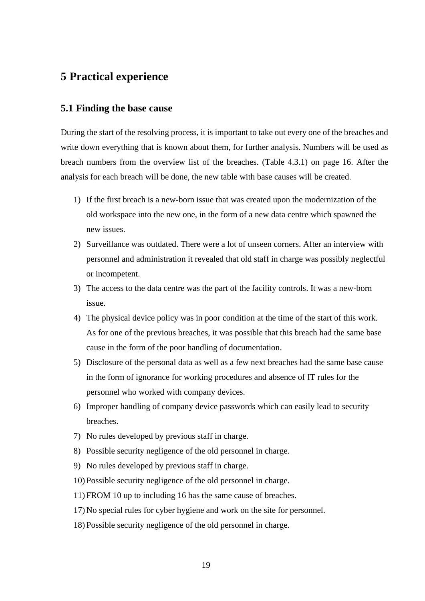### <span id="page-18-0"></span>**5 Practical experience**

#### <span id="page-18-1"></span>**5.1 Finding the base cause**

During the start of the resolving process, it is important to take out every one of the breaches and write down everything that is known about them, for further analysis. Numbers will be used as breach numbers from the overview list of the breaches. (Table 4.3.1) on page 16. After the analysis for each breach will be done, the new table with base causes will be created.

- 1) If the first breach is a new-born issue that was created upon the modernization of the old workspace into the new one, in the form of a new data centre which spawned the new issues.
- 2) Surveillance was outdated. There were a lot of unseen corners. After an interview with personnel and administration it revealed that old staff in charge was possibly neglectful or incompetent.
- 3) The access to the data centre was the part of the facility controls. It was a new-born issue.
- 4) The physical device policy was in poor condition at the time of the start of this work. As for one of the previous breaches, it was possible that this breach had the same base cause in the form of the poor handling of documentation.
- 5) Disclosure of the personal data as well as a few next breaches had the same base cause in the form of ignorance for working procedures and absence of IT rules for the personnel who worked with company devices.
- 6) Improper handling of company device passwords which can easily lead to security breaches.
- 7) No rules developed by previous staff in charge.
- 8) Possible security negligence of the old personnel in charge.
- 9) No rules developed by previous staff in charge.
- 10) Possible security negligence of the old personnel in charge.
- 11) FROM 10 up to including 16 has the same cause of breaches.
- 17) No special rules for cyber hygiene and work on the site for personnel.
- 18) Possible security negligence of the old personnel in charge.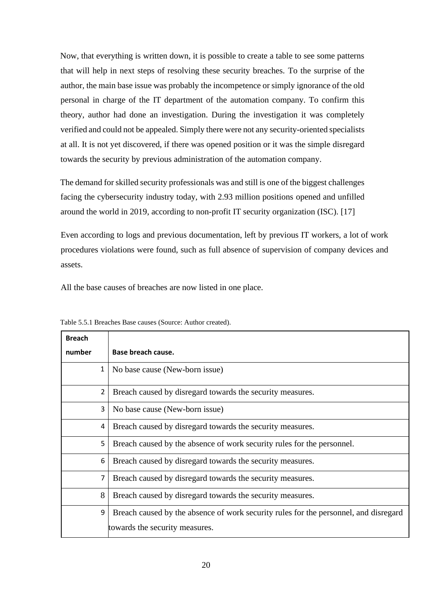Now, that everything is written down, it is possible to create a table to see some patterns that will help in next steps of resolving these security breaches. To the surprise of the author, the main base issue was probably the incompetence or simply ignorance of the old personal in charge of the IT department of the automation company. To confirm this theory, author had done an investigation. During the investigation it was completely verified and could not be appealed. Simply there were not any security-oriented specialists at all. It is not yet discovered, if there was opened position or it was the simple disregard towards the security by previous administration of the automation company.

The demand for skilled security professionals was and still is one of the biggest challenges facing the cybersecurity industry today, with 2.93 million positions opened and unfilled around the world in 2019, according to non-profit IT security organization (ISC). [17]

Even according to logs and previous documentation, left by previous IT workers, a lot of work procedures violations were found, such as full absence of supervision of company devices and assets.

All the base causes of breaches are now listed in one place.

| <b>Breach</b>  |                                                                                      |
|----------------|--------------------------------------------------------------------------------------|
| number         | Base breach cause.                                                                   |
| $\mathbf{1}$   | No base cause (New-born issue)                                                       |
| $\overline{2}$ | Breach caused by disregard towards the security measures.                            |
| 3              | No base cause (New-born issue)                                                       |
| 4              | Breach caused by disregard towards the security measures.                            |
| 5              | Breach caused by the absence of work security rules for the personnel.               |
| 6              | Breach caused by disregard towards the security measures.                            |
|                | Breach caused by disregard towards the security measures.                            |
| 8              | Breach caused by disregard towards the security measures.                            |
| 9              | Breach caused by the absence of work security rules for the personnel, and disregard |
|                | towards the security measures.                                                       |

Table 5.5.1 Breaches Base causes (Source: Author created).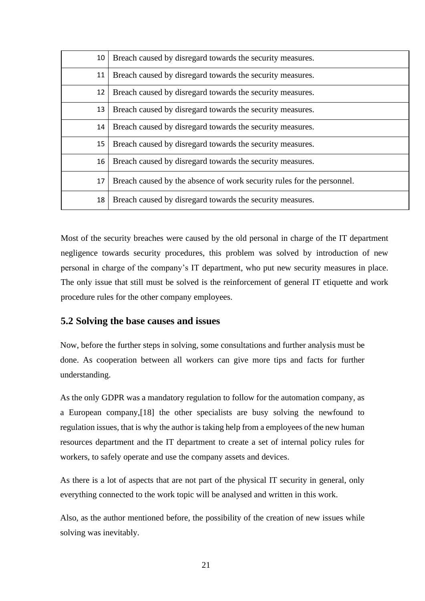| 10 | Breach caused by disregard towards the security measures.              |  |
|----|------------------------------------------------------------------------|--|
| 11 | Breach caused by disregard towards the security measures.              |  |
| 12 | Breach caused by disregard towards the security measures.              |  |
| 13 | Breach caused by disregard towards the security measures.              |  |
| 14 | Breach caused by disregard towards the security measures.              |  |
| 15 | Breach caused by disregard towards the security measures.              |  |
| 16 | Breach caused by disregard towards the security measures.              |  |
| 17 | Breach caused by the absence of work security rules for the personnel. |  |
| 18 | Breach caused by disregard towards the security measures.              |  |

Most of the security breaches were caused by the old personal in charge of the IT department negligence towards security procedures, this problem was solved by introduction of new personal in charge of the company's IT department, who put new security measures in place. The only issue that still must be solved is the reinforcement of general IT etiquette and work procedure rules for the other company employees.

### <span id="page-20-0"></span>**5.2 Solving the base causes and issues**

Now, before the further steps in solving, some consultations and further analysis must be done. As cooperation between all workers can give more tips and facts for further understanding.

As the only GDPR was a mandatory regulation to follow for the automation company, as a European company,[18] the other specialists are busy solving the newfound to regulation issues, that is why the author is taking help from a employees of the new human resources department and the IT department to create a set of internal policy rules for workers, to safely operate and use the company assets and devices.

As there is a lot of aspects that are not part of the physical IT security in general, only everything connected to the work topic will be analysed and written in this work.

Also, as the author mentioned before, the possibility of the creation of new issues while solving was inevitably.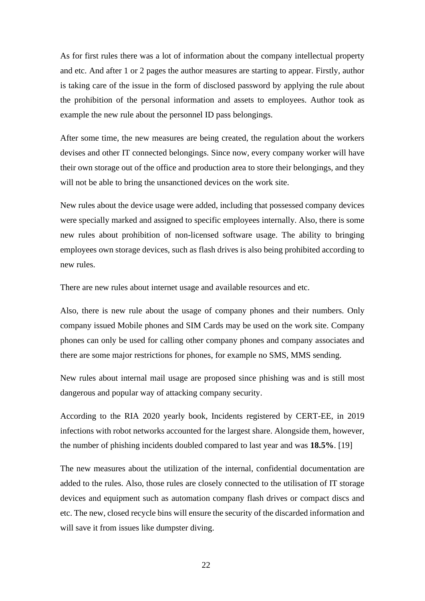As for first rules there was a lot of information about the company intellectual property and etc. And after 1 or 2 pages the author measures are starting to appear. Firstly, author is taking care of the issue in the form of disclosed password by applying the rule about the prohibition of the personal information and assets to employees. Author took as example the new rule about the personnel ID pass belongings.

After some time, the new measures are being created, the regulation about the workers devises and other IT connected belongings. Since now, every company worker will have their own storage out of the office and production area to store their belongings, and they will not be able to bring the unsanctioned devices on the work site.

New rules about the device usage were added, including that possessed company devices were specially marked and assigned to specific employees internally. Also, there is some new rules about prohibition of non-licensed software usage. The ability to bringing employees own storage devices, such as flash drives is also being prohibited according to new rules.

There are new rules about internet usage and available resources and etc.

Also, there is new rule about the usage of company phones and their numbers. Only company issued Mobile phones and SIM Cards may be used on the work site. Company phones can only be used for calling other company phones and company associates and there are some major restrictions for phones, for example no SMS, MMS sending.

New rules about internal mail usage are proposed since phishing was and is still most dangerous and popular way of attacking company security.

According to the RIA 2020 yearly book, Incidents registered by CERT-EE, in 2019 infections with robot networks accounted for the largest share. Alongside them, however, the number of phishing incidents doubled compared to last year and was **18.5%**. [19]

The new measures about the utilization of the internal, confidential documentation are added to the rules. Also, those rules are closely connected to the utilisation of IT storage devices and equipment such as automation company flash drives or compact discs and etc. The new, closed recycle bins will ensure the security of the discarded information and will save it from issues like dumpster diving.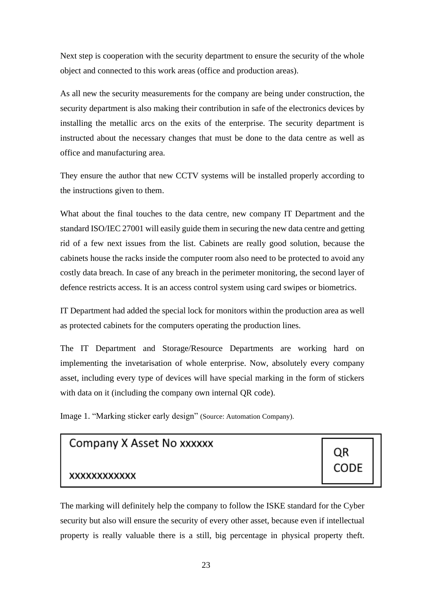Next step is cooperation with the security department to ensure the security of the whole object and connected to this work areas (office and production areas).

As all new the security measurements for the company are being under construction, the security department is also making their contribution in safe of the electronics devices by installing the metallic arcs on the exits of the enterprise. The security department is instructed about the necessary changes that must be done to the data centre as well as office and manufacturing area.

They ensure the author that new CCTV systems will be installed properly according to the instructions given to them.

What about the final touches to the data centre, new company IT Department and the standard ISO/IEC 27001 will easily guide them in securing the new data centre and getting rid of a few next issues from the list. Cabinets are really good solution, because the cabinets house the racks inside the computer room also need to be protected to avoid any costly data breach. In case of any breach in the perimeter monitoring, the second layer of defence restricts access. It is an access control system using card swipes or biometrics.

IT Department had added the special lock for monitors within the production area as well as protected cabinets for the computers operating the production lines.

The IT Department and Storage/Resource Departments are working hard on implementing the invetarisation of whole enterprise. Now, absolutely every company asset, including every type of devices will have special marking in the form of stickers with data on it (including the company own internal QR code).

Image 1. "Marking sticker early design" (Source: Automation Company).

# Company X Asset No xxxxxx

### **XXXXXXXXXXXX**

The marking will definitely help the company to follow the ISKE standard for the Cyber security but also will ensure the security of every other asset, because even if intellectual property is really valuable there is a still, big percentage in physical property theft.

ΟR

CODE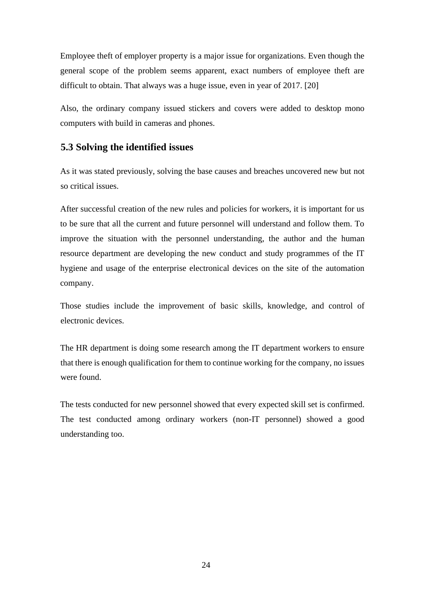Employee theft of employer property is a major issue for organizations. Even though the general scope of the problem seems apparent, exact numbers of employee theft are difficult to obtain. That always was a huge issue, even in year of 2017. [20]

Also, the ordinary company issued stickers and covers were added to desktop mono computers with build in cameras and phones.

### <span id="page-23-0"></span>**5.3 Solving the identified issues**

As it was stated previously, solving the base causes and breaches uncovered new but not so critical issues.

After successful creation of the new rules and policies for workers, it is important for us to be sure that all the current and future personnel will understand and follow them. To improve the situation with the personnel understanding, the author and the human resource department are developing the new conduct and study programmes of the IT hygiene and usage of the enterprise electronical devices on the site of the automation company.

Those studies include the improvement of basic skills, knowledge, and control of electronic devices.

The HR department is doing some research among the IT department workers to ensure that there is enough qualification for them to continue working for the company, no issues were found.

The tests conducted for new personnel showed that every expected skill set is confirmed. The test conducted among ordinary workers (non-IT personnel) showed a good understanding too.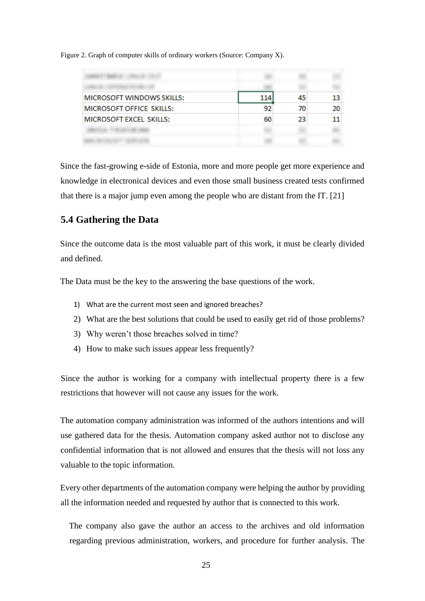Figure 2. Graph of computer skills of ordinary workers (Source: Company X).

| MICROSOFT WINDOWS SKILLS: | 114 | 45 | 13 |
|---------------------------|-----|----|----|
| MICROSOFT OFFICE SKILLS:  | 92  | 70 | 20 |
| MICROSOFT EXCEL SKILLS:   | 60  | 23 |    |
|                           |     |    |    |
|                           |     |    |    |

Since the fast-growing e-side of Estonia, more and more people get more experience and knowledge in electronical devices and even those small business created tests confirmed that there is a major jump even among the people who are distant from the IT. [21]

### <span id="page-24-0"></span>**5.4 Gathering the Data**

Since the outcome data is the most valuable part of this work, it must be clearly divided and defined.

The Data must be the key to the answering the base questions of the work.

- 1) What are the current most seen and ignored breaches?
- 2) What are the best solutions that could be used to easily get rid of those problems?
- 3) Why weren't those breaches solved in time?
- 4) How to make such issues appear less frequently?

Since the author is working for a company with intellectual property there is a few restrictions that however will not cause any issues for the work.

The automation company administration was informed of the authors intentions and will use gathered data for the thesis. Automation company asked author not to disclose any confidential information that is not allowed and ensures that the thesis will not loss any valuable to the topic information.

Every other departments of the automation company were helping the author by providing all the information needed and requested by author that is connected to this work.

The company also gave the author an access to the archives and old information regarding previous administration, workers, and procedure for further analysis. The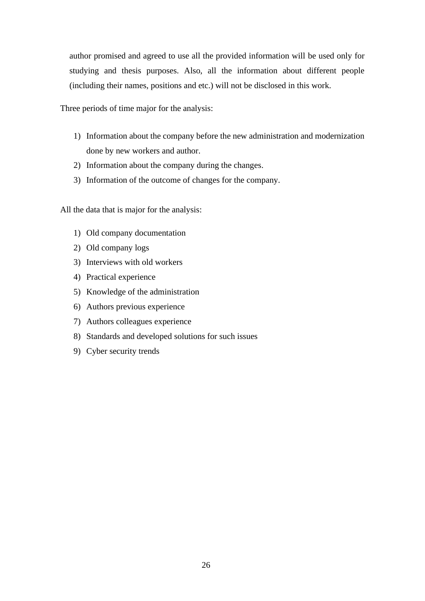author promised and agreed to use all the provided information will be used only for studying and thesis purposes. Also, all the information about different people (including their names, positions and etc.) will not be disclosed in this work.

Three periods of time major for the analysis:

- 1) Information about the company before the new administration and modernization done by new workers and author.
- 2) Information about the company during the changes.
- 3) Information of the outcome of changes for the company.

All the data that is major for the analysis:

- 1) Old company documentation
- 2) Old company logs
- 3) Interviews with old workers
- 4) Practical experience
- 5) Knowledge of the administration
- 6) Authors previous experience
- 7) Authors colleagues experience
- 8) Standards and developed solutions for such issues
- 9) Cyber security trends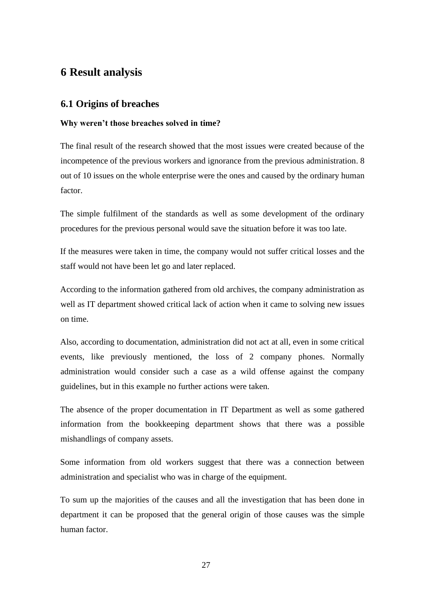### <span id="page-26-0"></span>**6 Result analysis**

### <span id="page-26-1"></span>**6.1 Origins of breaches**

#### **Why weren't those breaches solved in time?**

The final result of the research showed that the most issues were created because of the incompetence of the previous workers and ignorance from the previous administration. 8 out of 10 issues on the whole enterprise were the ones and caused by the ordinary human factor.

The simple fulfilment of the standards as well as some development of the ordinary procedures for the previous personal would save the situation before it was too late.

If the measures were taken in time, the company would not suffer critical losses and the staff would not have been let go and later replaced.

According to the information gathered from old archives, the company administration as well as IT department showed critical lack of action when it came to solving new issues on time.

Also, according to documentation, administration did not act at all, even in some critical events, like previously mentioned, the loss of 2 company phones. Normally administration would consider such a case as a wild offense against the company guidelines, but in this example no further actions were taken.

The absence of the proper documentation in IT Department as well as some gathered information from the bookkeeping department shows that there was a possible mishandlings of company assets.

Some information from old workers suggest that there was a connection between administration and specialist who was in charge of the equipment.

To sum up the majorities of the causes and all the investigation that has been done in department it can be proposed that the general origin of those causes was the simple human factor.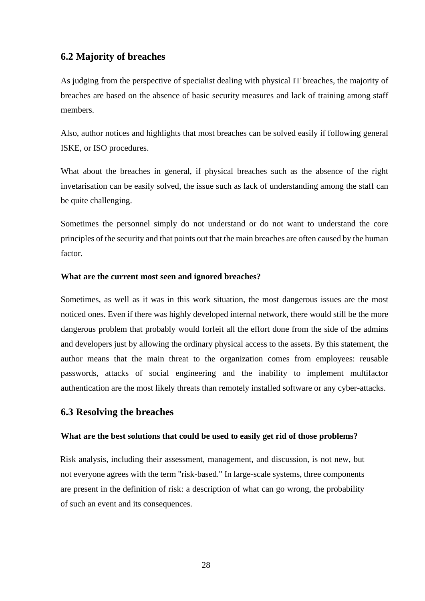#### <span id="page-27-0"></span>**6.2 Majority of breaches**

As judging from the perspective of specialist dealing with physical IT breaches, the majority of breaches are based on the absence of basic security measures and lack of training among staff members.

Also, author notices and highlights that most breaches can be solved easily if following general ISKE, or ISO procedures.

What about the breaches in general, if physical breaches such as the absence of the right invetarisation can be easily solved, the issue such as lack of understanding among the staff can be quite challenging.

Sometimes the personnel simply do not understand or do not want to understand the core principles of the security and that points out that the main breaches are often caused by the human factor.

#### **What are the current most seen and ignored breaches?**

Sometimes, as well as it was in this work situation, the most dangerous issues are the most noticed ones. Even if there was highly developed internal network, there would still be the more dangerous problem that probably would forfeit all the effort done from the side of the admins and developers just by allowing the ordinary physical access to the assets. By this statement, the author means that the main threat to the organization comes from employees: reusable passwords, attacks of social engineering and the inability to implement multifactor authentication are the most likely threats than remotely installed software or any cyber-attacks.

#### <span id="page-27-1"></span>**6.3 Resolving the breaches**

#### **What are the best solutions that could be used to easily get rid of those problems?**

Risk analysis, including their assessment, management, and discussion, is not new, but not everyone agrees with the term "risk-based." In large-scale systems, three components are present in the definition of risk: a description of what can go wrong, the probability of such an event and its consequences.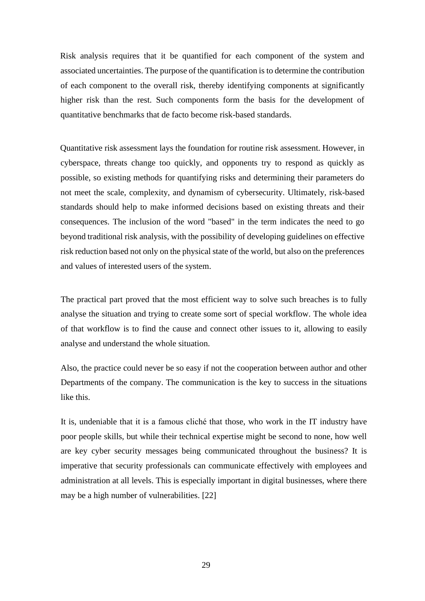Risk analysis requires that it be quantified for each component of the system and associated uncertainties. The purpose of the quantification is to determine the contribution of each component to the overall risk, thereby identifying components at significantly higher risk than the rest. Such components form the basis for the development of quantitative benchmarks that de facto become risk-based standards.

Quantitative risk assessment lays the foundation for routine risk assessment. However, in cyberspace, threats change too quickly, and opponents try to respond as quickly as possible, so existing methods for quantifying risks and determining their parameters do not meet the scale, complexity, and dynamism of cybersecurity. Ultimately, risk-based standards should help to make informed decisions based on existing threats and their consequences. The inclusion of the word "based" in the term indicates the need to go beyond traditional risk analysis, with the possibility of developing guidelines on effective risk reduction based not only on the physical state of the world, but also on the preferences and values of interested users of the system.

The practical part proved that the most efficient way to solve such breaches is to fully analyse the situation and trying to create some sort of special workflow. The whole idea of that workflow is to find the cause and connect other issues to it, allowing to easily analyse and understand the whole situation.

Also, the practice could never be so easy if not the cooperation between author and other Departments of the company. The communication is the key to success in the situations like this.

It is, undeniable that it is a famous cliché that those, who work in the IT industry have poor people skills, but while their technical expertise might be second to none, how well are key cyber security messages being communicated throughout the business? It is imperative that security professionals can communicate effectively with employees and administration at all levels. This is especially important in digital businesses, where there may be a high number of vulnerabilities. [22]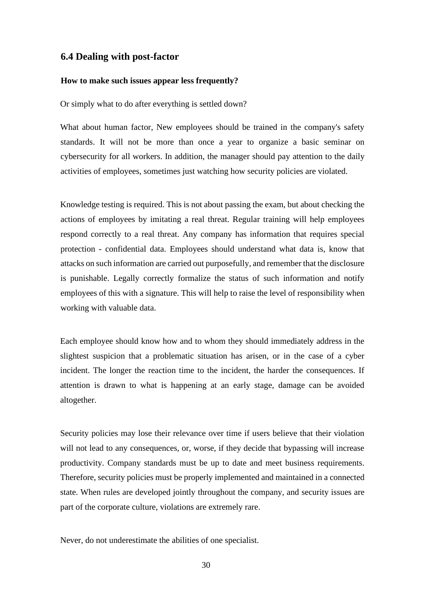#### <span id="page-29-0"></span>**6.4 Dealing with post-factor**

#### **How to make such issues appear less frequently?**

Or simply what to do after everything is settled down?

What about human factor, New employees should be trained in the company's safety standards. It will not be more than once a year to organize a basic seminar on cybersecurity for all workers. In addition, the manager should pay attention to the daily activities of employees, sometimes just watching how security policies are violated.

Knowledge testing is required. This is not about passing the exam, but about checking the actions of employees by imitating a real threat. Regular training will help employees respond correctly to a real threat. Any company has information that requires special protection - confidential data. Employees should understand what data is, know that attacks on such information are carried out purposefully, and remember that the disclosure is punishable. Legally correctly formalize the status of such information and notify employees of this with a signature. This will help to raise the level of responsibility when working with valuable data.

Each employee should know how and to whom they should immediately address in the slightest suspicion that a problematic situation has arisen, or in the case of a cyber incident. The longer the reaction time to the incident, the harder the consequences. If attention is drawn to what is happening at an early stage, damage can be avoided altogether.

Security policies may lose their relevance over time if users believe that their violation will not lead to any consequences, or, worse, if they decide that bypassing will increase productivity. Company standards must be up to date and meet business requirements. Therefore, security policies must be properly implemented and maintained in a connected state. When rules are developed jointly throughout the company, and security issues are part of the corporate culture, violations are extremely rare.

Never, do not underestimate the abilities of one specialist.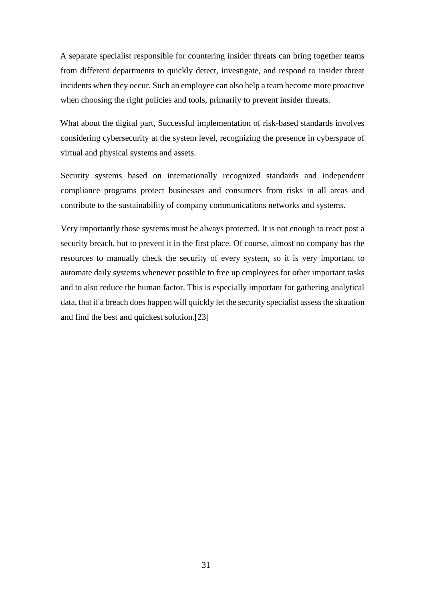A separate specialist responsible for countering insider threats can bring together teams from different departments to quickly detect, investigate, and respond to insider threat incidents when they occur. Such an employee can also help a team become more proactive when choosing the right policies and tools, primarily to prevent insider threats.

What about the digital part, Successful implementation of risk-based standards involves considering cybersecurity at the system level, recognizing the presence in cyberspace of virtual and physical systems and assets.

Security systems based on internationally recognized standards and independent compliance programs protect businesses and consumers from risks in all areas and contribute to the sustainability of company communications networks and systems.

Very importantly those systems must be always protected. It is not enough to react post a security breach, but to prevent it in the first place. Of course, almost no company has the resources to manually check the security of every system, so it is very important to automate daily systems whenever possible to free up employees for other important tasks and to also reduce the human factor. This is especially important for gathering analytical data, that if a breach does happen will quickly let the security specialist assess the situation and find the best and quickest solution.[23]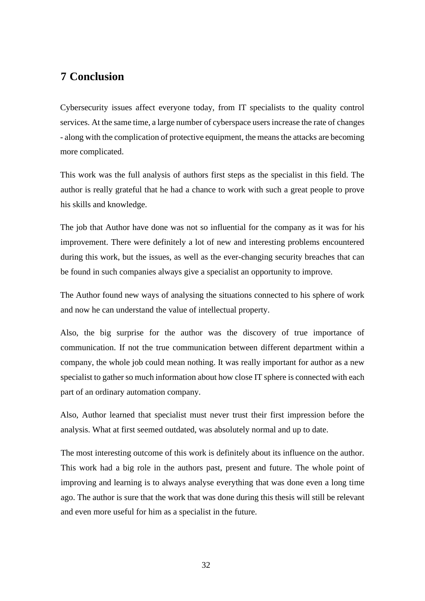### <span id="page-31-0"></span>**7 Conclusion**

Cybersecurity issues affect everyone today, from IT specialists to the quality control services. At the same time, a large number of cyberspace users increase the rate of changes - along with the complication of protective equipment, the means the attacks are becoming more complicated.

This work was the full analysis of authors first steps as the specialist in this field. The author is really grateful that he had a chance to work with such a great people to prove his skills and knowledge.

The job that Author have done was not so influential for the company as it was for his improvement. There were definitely a lot of new and interesting problems encountered during this work, but the issues, as well as the ever-changing security breaches that can be found in such companies always give a specialist an opportunity to improve.

The Author found new ways of analysing the situations connected to his sphere of work and now he can understand the value of intellectual property.

Also, the big surprise for the author was the discovery of true importance of communication. If not the true communication between different department within a company, the whole job could mean nothing. It was really important for author as a new specialist to gather so much information about how close IT sphere is connected with each part of an ordinary automation company.

Also, Author learned that specialist must never trust their first impression before the analysis. What at first seemed outdated, was absolutely normal and up to date.

<span id="page-31-1"></span>The most interesting outcome of this work is definitely about its influence on the author. This work had a big role in the authors past, present and future. The whole point of improving and learning is to always analyse everything that was done even a long time ago. The author is sure that the work that was done during this thesis will still be relevant and even more useful for him as a specialist in the future.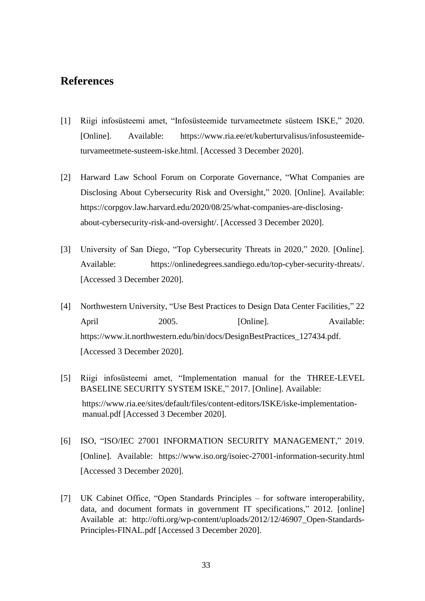### **References**

- [1] Riigi infosüsteemi amet, "Infosüsteemide turvameetmete süsteem ISKE," 2020. [Online]. Available: https://www.ria.ee/et/kuberturvalisus/infosusteemideturvameetmete-susteem-iske.html. [Accessed 3 December 2020].
- [2] Harward Law School Forum on Corporate Governance, "What Companies are Disclosing About Cybersecurity Risk and Oversight," 2020. [Online]. Available: https://corpgov.law.harvard.edu/2020/08/25/what-companies-are-disclosingabout-cybersecurity-risk-and-oversight/. [Accessed 3 December 2020].
- [3] University of San Diego, "Top Cybersecurity Threats in 2020," 2020. [Online]. Available: https://onlinedegrees.sandiego.edu/top-cyber-security-threats/. [Accessed 3 December 2020].
- [4] Northwestern University, "Use Best Practices to Design Data Center Facilities," 22 April 2005. [Online]. Available: https://www.it.northwestern.edu/bin/docs/DesignBestPractices\_127434.pdf. [Accessed 3 December 2020].
- [5] Riigi infosüsteemi amet, "Implementation manual for the THREE-LEVEL BASELINE SECURITY SYSTEM ISKE," 2017. [Online]. Available: https://www.ria.ee/sites/default/files/content-editors/ISKE/iske-implementationmanual.pdf [Accessed 3 December 2020].
- [6] ISO, "ISO/IEC 27001 INFORMATION SECURITY MANAGEMENT," 2019. [Online]. Available: https://www.iso.org/isoiec-27001-information-security.html [Accessed 3 December 2020].
- [7] UK Cabinet Office, "Open Standards Principles for software interoperability, data, and document formats in government IT specifications," 2012. [online] Available at: http://ofti.org/wp-content/uploads/2012/12/46907\_Open-Standards-Principles-FINAL.pdf [Accessed 3 December 2020].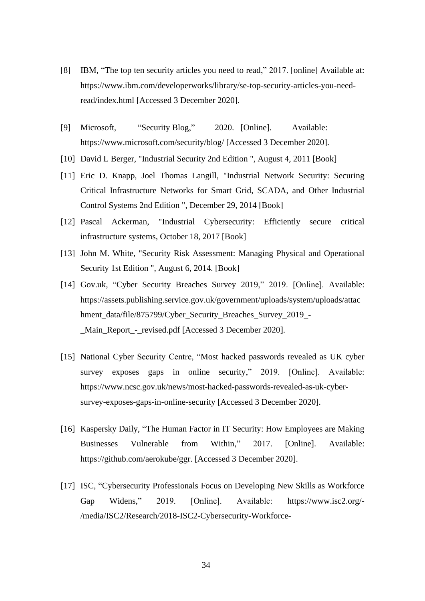- [8] IBM, "The top ten security articles you need to read," 2017. [online] Available at: https://www.ibm.com/developerworks/library/se-top-security-articles-you-needread/index.html [Accessed 3 December 2020].
- [9] Microsoft, "Security Blog," 2020. [Online]. Available: https://www.microsoft.com/security/blog/ [Accessed 3 December 2020].
- [10] David L Berger, "Industrial Security 2nd Edition ", August 4, 2011 [Book]
- [11] Eric D. Knapp, Joel Thomas Langill, "Industrial Network Security: Securing Critical Infrastructure Networks for Smart Grid, SCADA, and Other Industrial Control Systems 2nd Edition ", December 29, 2014 [Book]
- [12] Pascal Ackerman, "Industrial Cybersecurity: Efficiently secure critical infrastructure systems, October 18, 2017 [Book]
- [13] John M. White, "Security Risk Assessment: Managing Physical and Operational Security 1st Edition ", August 6, 2014. [Book]
- [14] Gov.uk, "Cyber Security Breaches Survey 2019," 2019. [Online]. Available: https://assets.publishing.service.gov.uk/government/uploads/system/uploads/attac hment\_data/file/875799/Cyber\_Security\_Breaches\_Survey\_2019\_- \_Main\_Report\_-\_revised.pdf [Accessed 3 December 2020].
- [15] National Cyber Security Centre, "Most hacked passwords revealed as UK cyber survey exposes gaps in online security," 2019. [Online]. Available: https://www.ncsc.gov.uk/news/most-hacked-passwords-revealed-as-uk-cybersurvey-exposes-gaps-in-online-security [Accessed 3 December 2020].
- [16] Kaspersky Daily, "The Human Factor in IT Security: How Employees are Making Businesses Vulnerable from Within," 2017. [Online]. Available: https://github.com/aerokube/ggr. [Accessed 3 December 2020].
- [17] ISC, "Cybersecurity Professionals Focus on Developing New Skills as Workforce Gap Widens," 2019. [Online]. Available: https://www.isc2.org/- /media/ISC2/Research/2018-ISC2-Cybersecurity-Workforce-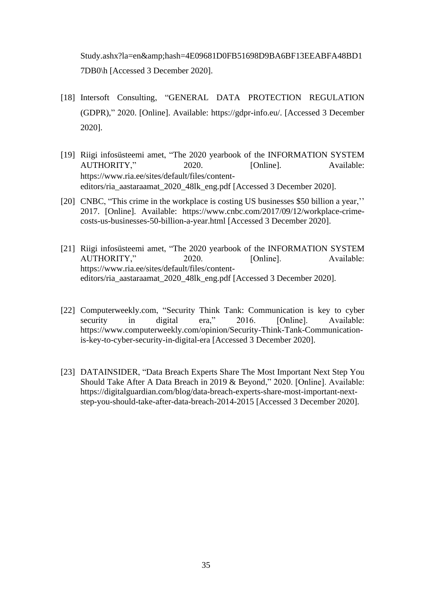Study.ashx?la=en&hash=4E09681D0FB51698D9BA6BF13EEABFA48BD1 7DB0\h [Accessed 3 December 2020].

- [18] Intersoft Consulting, "GENERAL DATA PROTECTION REGULATION (GDPR)," 2020. [Online]. Available: https://gdpr-info.eu/. [Accessed 3 December 2020].
- [19] Riigi infosüsteemi amet, "The 2020 yearbook of the INFORMATION SYSTEM AUTHORITY," 2020. [Online]. Available: https://www.ria.ee/sites/default/files/contenteditors/ria\_aastaraamat\_2020\_48lk\_eng.pdf [Accessed 3 December 2020].
- [20] CNBC, "This crime in the workplace is costing US businesses \$50 billion a year," 2017. [Online]. Available: https://www.cnbc.com/2017/09/12/workplace-crimecosts-us-businesses-50-billion-a-year.html [Accessed 3 December 2020].
- [21] Riigi infosüsteemi amet, "The 2020 yearbook of the INFORMATION SYSTEM AUTHORITY," 2020. [Online]. Available: https://www.ria.ee/sites/default/files/contenteditors/ria\_aastaraamat\_2020\_48lk\_eng.pdf [Accessed 3 December 2020].
- [22] Computerweekly.com, "Security Think Tank: Communication is key to cyber security in digital era," 2016. [Online]. Available: https://www.computerweekly.com/opinion/Security-Think-Tank-Communicationis-key-to-cyber-security-in-digital-era [Accessed 3 December 2020].
- [23] DATAINSIDER, "Data Breach Experts Share The Most Important Next Step You Should Take After A Data Breach in 2019 & Beyond," 2020. [Online]. Available: https://digitalguardian.com/blog/data-breach-experts-share-most-important-nextstep-you-should-take-after-data-breach-2014-2015 [Accessed 3 December 2020].